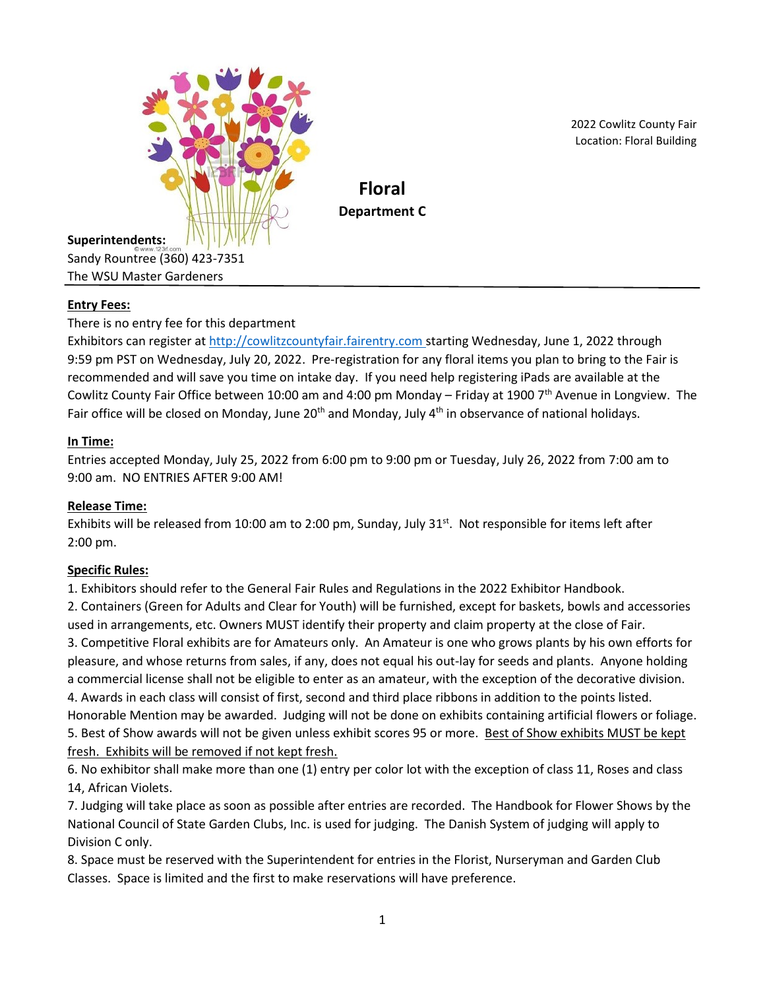

2022 Cowlitz County Fair Location: Floral Building

**Floral Department C**

**Superintendents:** Sandy Rountree (360) 423-7351 The WSU Master Gardeners

# **Entry Fees:**

There is no entry fee for this department

Exhibitors can register at [http://cowlitzcountyfair.fairentry.com](http://cowlitzcountyfair.fairentry.com/) starting Wednesday, June 1, 2022 through 9:59 pm PST on Wednesday, July 20, 2022. Pre-registration for any floral items you plan to bring to the Fair is recommended and will save you time on intake day. If you need help registering iPads are available at the Cowlitz County Fair Office between 10:00 am and 4:00 pm Monday – Friday at 1900  $7<sup>th</sup>$  Avenue in Longview. The Fair office will be closed on Monday, June 20<sup>th</sup> and Monday, July  $4<sup>th</sup>$  in observance of national holidays.

## **In Time:**

Entries accepted Monday, July 25, 2022 from 6:00 pm to 9:00 pm or Tuesday, July 26, 2022 from 7:00 am to 9:00 am. NO ENTRIES AFTER 9:00 AM!

## **Release Time:**

Exhibits will be released from 10:00 am to 2:00 pm, Sunday, July  $31^{st}$ . Not responsible for items left after 2:00 pm.

#### **Specific Rules:**

1. Exhibitors should refer to the General Fair Rules and Regulations in the 2022 Exhibitor Handbook.

2. Containers (Green for Adults and Clear for Youth) will be furnished, except for baskets, bowls and accessories used in arrangements, etc. Owners MUST identify their property and claim property at the close of Fair. 3. Competitive Floral exhibits are for Amateurs only. An Amateur is one who grows plants by his own efforts for pleasure, and whose returns from sales, if any, does not equal his out-lay for seeds and plants. Anyone holding a commercial license shall not be eligible to enter as an amateur, with the exception of the decorative division. 4. Awards in each class will consist of first, second and third place ribbons in addition to the points listed. Honorable Mention may be awarded. Judging will not be done on exhibits containing artificial flowers or foliage. 5. Best of Show awards will not be given unless exhibit scores 95 or more. Best of Show exhibits MUST be kept fresh. Exhibits will be removed if not kept fresh.

6. No exhibitor shall make more than one (1) entry per color lot with the exception of class 11, Roses and class 14, African Violets.

7. Judging will take place as soon as possible after entries are recorded. The Handbook for Flower Shows by the National Council of State Garden Clubs, Inc. is used for judging. The Danish System of judging will apply to Division C only.

8. Space must be reserved with the Superintendent for entries in the Florist, Nurseryman and Garden Club Classes. Space is limited and the first to make reservations will have preference.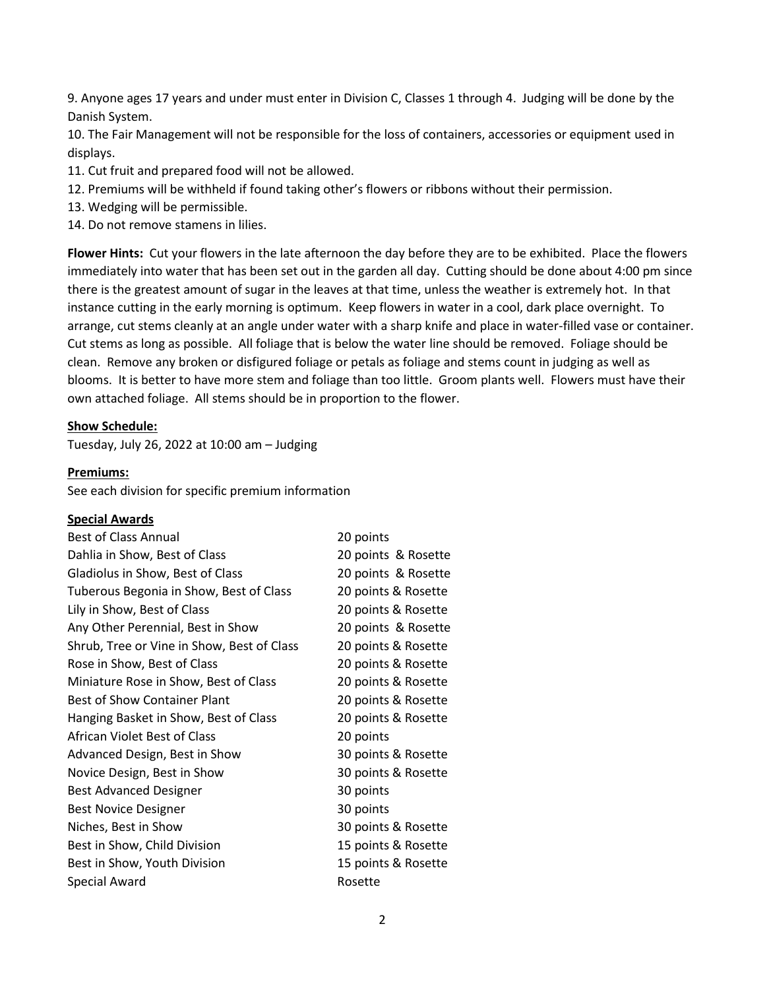9. Anyone ages 17 years and under must enter in Division C, Classes 1 through 4. Judging will be done by the Danish System.

10. The Fair Management will not be responsible for the loss of containers, accessories or equipment used in displays.

- 11. Cut fruit and prepared food will not be allowed.
- 12. Premiums will be withheld if found taking other's flowers or ribbons without their permission.
- 13. Wedging will be permissible.
- 14. Do not remove stamens in lilies.

**Flower Hints:** Cut your flowers in the late afternoon the day before they are to be exhibited. Place the flowers immediately into water that has been set out in the garden all day. Cutting should be done about 4:00 pm since there is the greatest amount of sugar in the leaves at that time, unless the weather is extremely hot. In that instance cutting in the early morning is optimum. Keep flowers in water in a cool, dark place overnight. To arrange, cut stems cleanly at an angle under water with a sharp knife and place in water-filled vase or container. Cut stems as long as possible. All foliage that is below the water line should be removed. Foliage should be clean. Remove any broken or disfigured foliage or petals as foliage and stems count in judging as well as blooms. It is better to have more stem and foliage than too little. Groom plants well. Flowers must have their own attached foliage. All stems should be in proportion to the flower.

#### **Show Schedule:**

Tuesday, July 26, 2022 at 10:00 am – Judging

#### **Premiums:**

See each division for specific premium information

#### **Special Awards**

| <b>Best of Class Annual</b>                | 20 points           |
|--------------------------------------------|---------------------|
| Dahlia in Show, Best of Class              | 20 points & Rosette |
| Gladiolus in Show, Best of Class           | 20 points & Rosette |
| Tuberous Begonia in Show, Best of Class    | 20 points & Rosette |
| Lily in Show, Best of Class                | 20 points & Rosette |
| Any Other Perennial, Best in Show          | 20 points & Rosette |
| Shrub, Tree or Vine in Show, Best of Class | 20 points & Rosette |
| Rose in Show, Best of Class                | 20 points & Rosette |
| Miniature Rose in Show, Best of Class      | 20 points & Rosette |
| <b>Best of Show Container Plant</b>        | 20 points & Rosette |
| Hanging Basket in Show, Best of Class      | 20 points & Rosette |
| African Violet Best of Class               | 20 points           |
| Advanced Design, Best in Show              | 30 points & Rosette |
| Novice Design, Best in Show                | 30 points & Rosette |
| <b>Best Advanced Designer</b>              | 30 points           |
| <b>Best Novice Designer</b>                | 30 points           |
| Niches, Best in Show                       | 30 points & Rosette |
| Best in Show, Child Division               | 15 points & Rosette |
| Best in Show, Youth Division               | 15 points & Rosette |
| <b>Special Award</b>                       | Rosette             |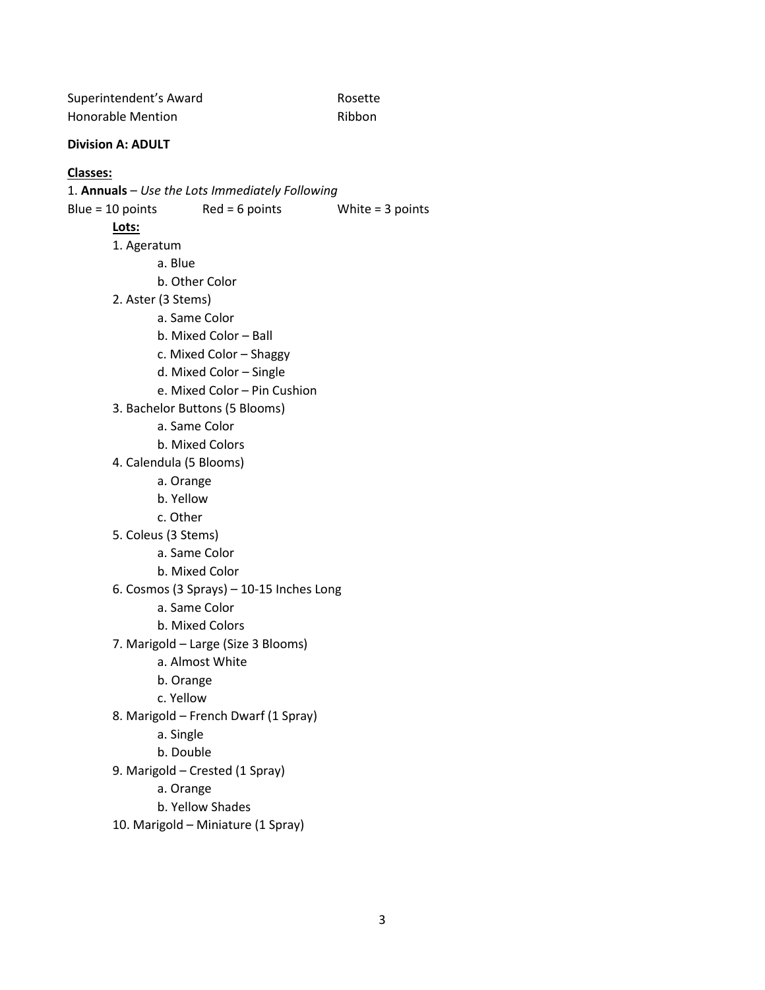| Superintendent's Award | Rosette |
|------------------------|---------|
| Honorable Mention      | Ribbon  |

#### **Division A: ADULT**

#### **Classes:**

#### 1. **Annuals** – *Use the Lots Immediately Following*

Blue =  $10$  points Red =  $6$  points White =  $3$  points

- 1. Ageratum
	- a. Blue
	- b. Other Color
- 2. Aster (3 Stems)
	- a. Same Color
	- b. Mixed Color Ball
	- c. Mixed Color Shaggy
	- d. Mixed Color Single
	- e. Mixed Color Pin Cushion
- 3. Bachelor Buttons (5 Blooms)
	- a. Same Color
	- b. Mixed Colors
- 4. Calendula (5 Blooms)
	- a. Orange
	- b. Yellow
	- c. Other
- 5. Coleus (3 Stems)
	- a. Same Color
	- b. Mixed Color
- 6. Cosmos (3 Sprays) 10-15 Inches Long
	- a. Same Color
	- b. Mixed Colors
- 7. Marigold Large (Size 3 Blooms)
	- a. Almost White
	- b. Orange
	- c. Yellow
- 8. Marigold French Dwarf (1 Spray)
	- a. Single
	- b. Double
- 9. Marigold Crested (1 Spray)
	- a. Orange
	- b. Yellow Shades
- 10. Marigold Miniature (1 Spray)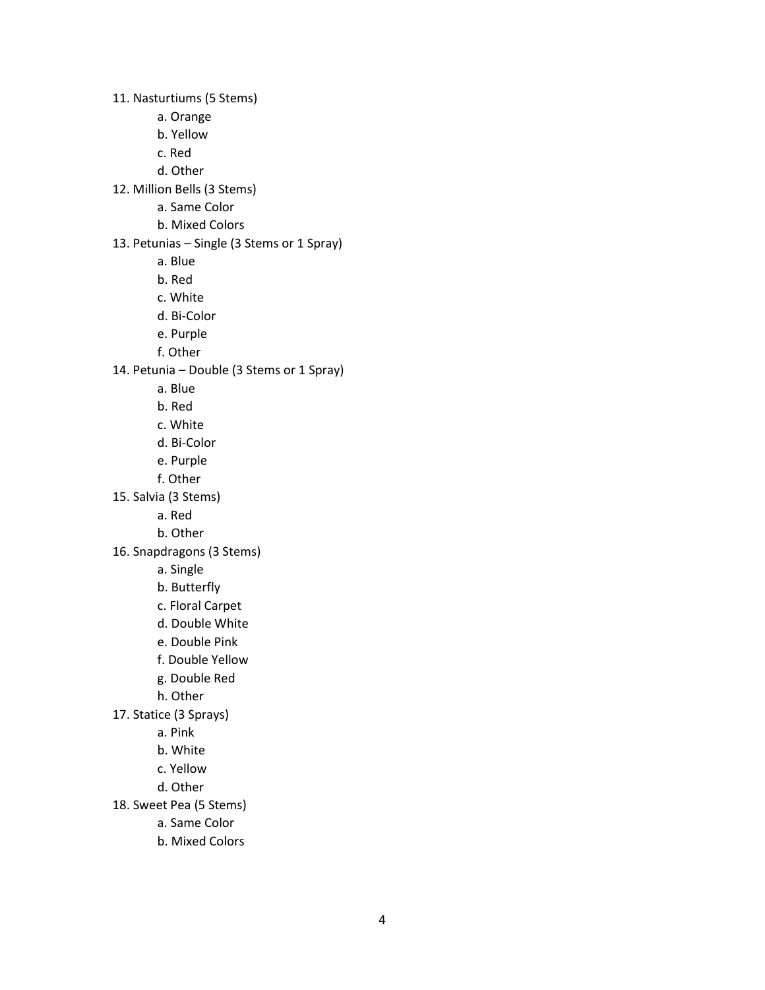11. Nasturtiums (5 Stems)

- a. Orange
- b. Yellow
- c. Red
- d. Other
- 12. Million Bells (3 Stems)
	- a. Same Color
	- b. Mixed Colors
- 13. Petunias Single (3 Stems or 1 Spray)
	- a. Blue
	- b. Red
	- c. White
	- d. Bi-Color
	- e. Purple
	- f. Other
- 14. Petunia Double (3 Stems or 1 Spray)
	- a. Blue
	- b. Red
	- c. White
	- d. Bi-Color
	- e. Purple
	- f. Other
- 15. Salvia (3 Stems)
	- a. Red
	- b. Other
- 16. Snapdragons (3 Stems)
	- a. Single
	- b. Butterfly
	- c. Floral Carpet
	- d. Double White
	- e. Double Pink
	- f. Double Yellow
	- g. Double Red
	- h. Other
- 17. Statice (3 Sprays)
	- a. Pink
	- b. White
	- c. Yellow
	- d. Other
- 18. Sweet Pea (5 Stems)
	- a. Same Color
	- b. Mixed Colors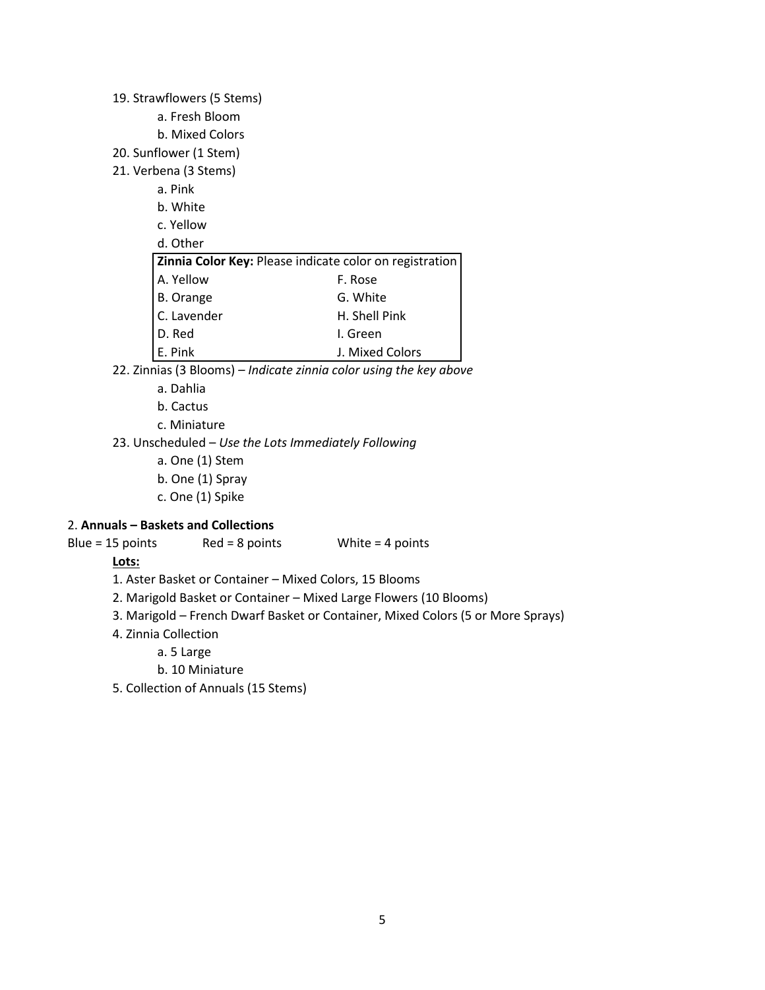#### 19. Strawflowers (5 Stems)

- a. Fresh Bloom
- b. Mixed Colors
- 20. Sunflower (1 Stem)
- 21. Verbena (3 Stems)
	- a. Pink
	- b. White
	- c. Yellow
	- d. Other

| Zinnia Color Key: Please indicate color on registration |                 |
|---------------------------------------------------------|-----------------|
| A. Yellow                                               | F. Rose         |
|                                                         | G. White        |
| B. Orange<br>C. Lavender                                | H. Shell Pink   |
| D. Red                                                  | I. Green        |
| E. Pink                                                 | J. Mixed Colors |

- 22. Zinnias (3 Blooms) *– Indicate zinnia color using the key above*
	- a. Dahlia
	- b. Cactus
	- c. Miniature
- 23. Unscheduled *Use the Lots Immediately Following*
	- a. One (1) Stem
	- b. One (1) Spray
	- c. One (1) Spike

#### 2. **Annuals – Baskets and Collections**

Blue = 15 points Red = 8 points White = 4 points

- 1. Aster Basket or Container Mixed Colors, 15 Blooms
- 2. Marigold Basket or Container Mixed Large Flowers (10 Blooms)
- 3. Marigold French Dwarf Basket or Container, Mixed Colors (5 or More Sprays)
- 4. Zinnia Collection
	- a. 5 Large
		- b. 10 Miniature
- 5. Collection of Annuals (15 Stems)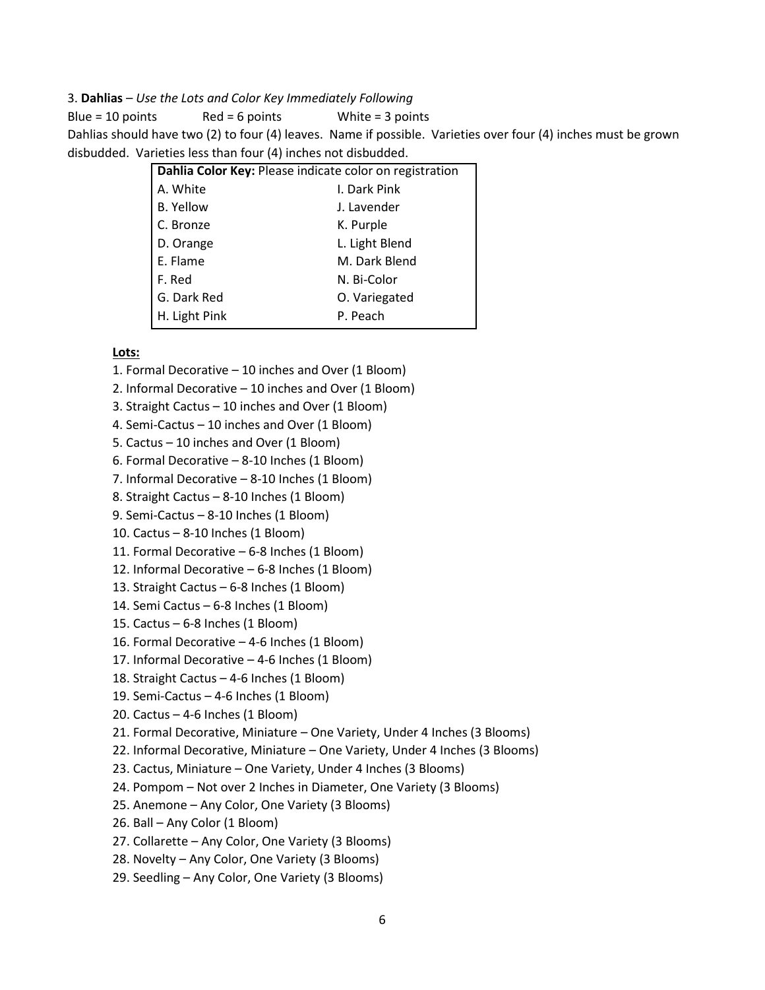#### 3. **Dahlias** – *Use the Lots and Color Key Immediately Following*

Blue =  $10$  points Red = 6 points White = 3 points Dahlias should have two (2) to four (4) leaves. Name if possible. Varieties over four (4) inches must be grown disbudded. Varieties less than four (4) inches not disbudded.

| Dahlia Color Key: Please indicate color on registration |                |
|---------------------------------------------------------|----------------|
| A. White                                                | I. Dark Pink   |
| <b>B. Yellow</b>                                        | J. Lavender    |
| C. Bronze                                               | K. Purple      |
| D. Orange                                               | L. Light Blend |
| E. Flame                                                | M. Dark Blend  |
| F. Red                                                  | N. Bi-Color    |
| G. Dark Red                                             | O. Variegated  |
| H. Light Pink                                           | P. Peach       |

- 1. Formal Decorative 10 inches and Over (1 Bloom)
- 2. Informal Decorative 10 inches and Over (1 Bloom)
- 3. Straight Cactus 10 inches and Over (1 Bloom)
- 4. Semi-Cactus 10 inches and Over (1 Bloom)
- 5. Cactus 10 inches and Over (1 Bloom)
- 6. Formal Decorative 8-10 Inches (1 Bloom)
- 7. Informal Decorative 8-10 Inches (1 Bloom)
- 8. Straight Cactus 8-10 Inches (1 Bloom)
- 9. Semi-Cactus 8-10 Inches (1 Bloom)
- 10. Cactus 8-10 Inches (1 Bloom)
- 11. Formal Decorative 6-8 Inches (1 Bloom)
- 12. Informal Decorative 6-8 Inches (1 Bloom)
- 13. Straight Cactus 6-8 Inches (1 Bloom)
- 14. Semi Cactus 6-8 Inches (1 Bloom)
- 15. Cactus 6-8 Inches (1 Bloom)
- 16. Formal Decorative 4-6 Inches (1 Bloom)
- 17. Informal Decorative 4-6 Inches (1 Bloom)
- 18. Straight Cactus 4-6 Inches (1 Bloom)
- 19. Semi-Cactus 4-6 Inches (1 Bloom)
- 20. Cactus  $-4-6$  Inches (1 Bloom)
- 21. Formal Decorative, Miniature One Variety, Under 4 Inches (3 Blooms)
- 22. Informal Decorative, Miniature One Variety, Under 4 Inches (3 Blooms)
- 23. Cactus, Miniature One Variety, Under 4 Inches (3 Blooms)
- 24. Pompom Not over 2 Inches in Diameter, One Variety (3 Blooms)
- 25. Anemone Any Color, One Variety (3 Blooms)
- 26. Ball Any Color (1 Bloom)
- 27. Collarette Any Color, One Variety (3 Blooms)
- 28. Novelty Any Color, One Variety (3 Blooms)
- 29. Seedling Any Color, One Variety (3 Blooms)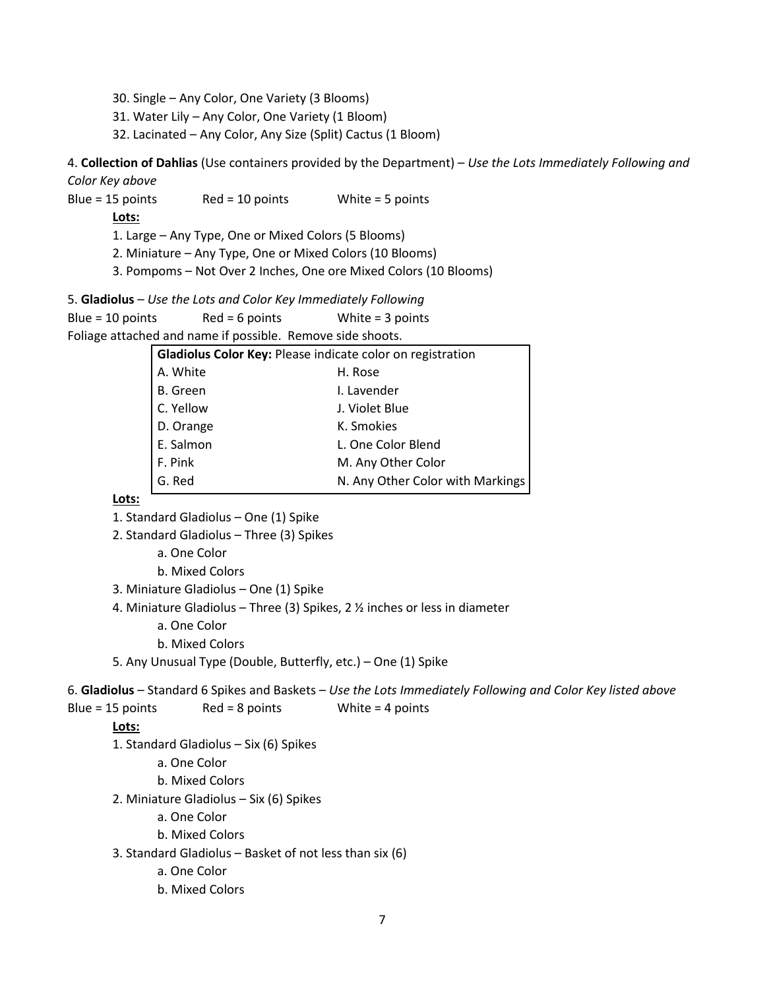- 30. Single Any Color, One Variety (3 Blooms)
- 31. Water Lily Any Color, One Variety (1 Bloom)
- 32. Lacinated Any Color, Any Size (Split) Cactus (1 Bloom)

4. **Collection of Dahlias** (Use containers provided by the Department) – *Use the Lots Immediately Following and Color Key above*

Blue = 15 points Red = 10 points White = 5 points

**Lots:**

1. Large – Any Type, One or Mixed Colors (5 Blooms)

- 2. Miniature Any Type, One or Mixed Colors (10 Blooms)
- 3. Pompoms Not Over 2 Inches, One ore Mixed Colors (10 Blooms)

5. **Gladiolus** – *Use the Lots and Color Key Immediately Following*

```
Blue = 10 points Red = 6 points White = 3 points
```
Foliage attached and name if possible. Remove side shoots.

| <b>Gladiolus Color Key: Please indicate color on registration</b> |                                  |  |
|-------------------------------------------------------------------|----------------------------------|--|
| A. White                                                          | H. Rose                          |  |
| B. Green                                                          | I. Lavender                      |  |
| C. Yellow                                                         | J. Violet Blue                   |  |
| D. Orange                                                         | K. Smokies                       |  |
| E. Salmon                                                         | L. One Color Blend               |  |
| F. Pink                                                           | M. Any Other Color               |  |
| G. Red                                                            | N. Any Other Color with Markings |  |
|                                                                   |                                  |  |

#### **Lots:**

- 1. Standard Gladiolus One (1) Spike
- 2. Standard Gladiolus Three (3) Spikes
	- a. One Color
	- b. Mixed Colors
- 3. Miniature Gladiolus One (1) Spike
- 4. Miniature Gladiolus Three (3) Spikes, 2 ½ inches or less in diameter
	- a. One Color
	- b. Mixed Colors
- 5. Any Unusual Type (Double, Butterfly, etc.) One (1) Spike

6. **Gladiolus** – Standard 6 Spikes and Baskets – *Use the Lots Immediately Following and Color Key listed above* Blue = 15 points Red = 8 points White = 4 points

#### **Lots:**

1. Standard Gladiolus – Six (6) Spikes

a. One Color

b. Mixed Colors

2. Miniature Gladiolus – Six (6) Spikes

- a. One Color
- b. Mixed Colors

3. Standard Gladiolus – Basket of not less than six (6)

- a. One Color
- b. Mixed Colors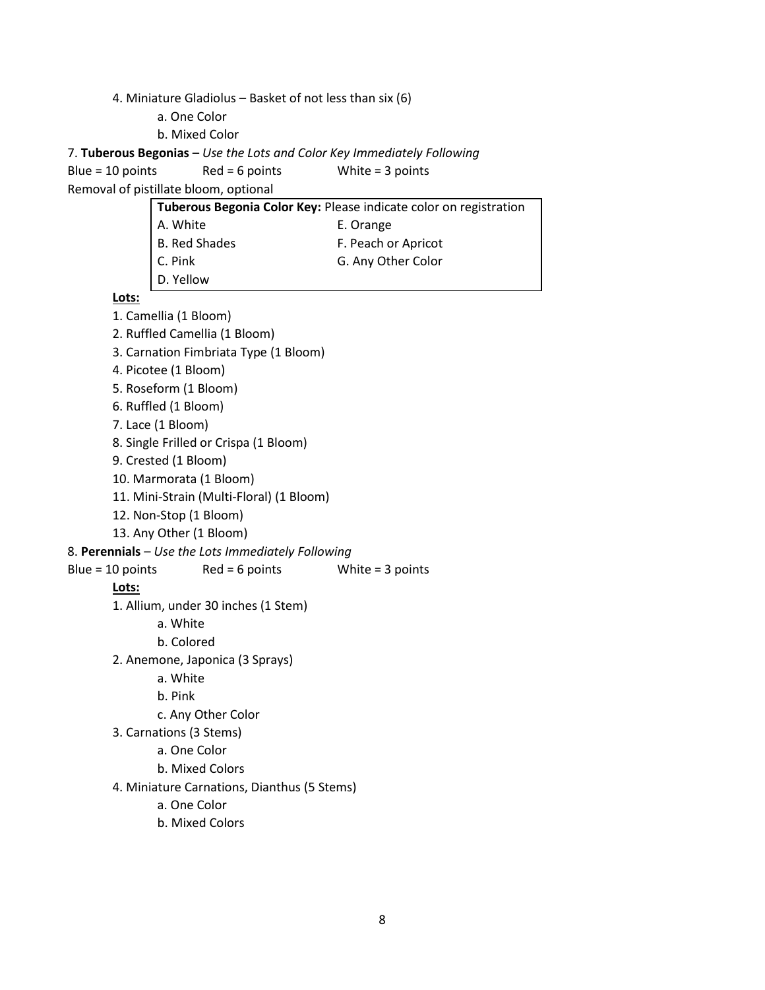4. Miniature Gladiolus – Basket of not less than six (6)

a. One Color

b. Mixed Color

7. **Tuberous Begonias** – *Use the Lots and Color Key Immediately Following*

```
Blue = 10 points Red = 6 points White = 3 points
```
Removal of pistillate bloom, optional

| Tuberous Begonia Color Key: Please indicate color on registration |                     |  |
|-------------------------------------------------------------------|---------------------|--|
| A. White                                                          | E. Orange           |  |
| B. Red Shades                                                     | F. Peach or Apricot |  |
| $\Big $ C. Pink<br>D. Yellow                                      | G. Any Other Color  |  |
|                                                                   |                     |  |

**Lots:** 1. Camellia (1 Bloom) 2. Ruffled Camellia (1 Bloom) 3. Carnation Fimbriata Type (1 Bloom) 4. Picotee (1 Bloom) 5. Roseform (1 Bloom) 6. Ruffled (1 Bloom) 7. Lace (1 Bloom) 8. Single Frilled or Crispa (1 Bloom) 9. Crested (1 Bloom) 10. Marmorata (1 Bloom) 11. Mini-Strain (Multi-Floral) (1 Bloom) 12. Non-Stop (1 Bloom) 13. Any Other (1 Bloom) 8. **Perennials** – *Use the Lots Immediately Following* Blue =  $10$  points Red = 6 points White = 3 points **Lots:** 1. Allium, under 30 inches (1 Stem) a. White b. Colored 2. Anemone, Japonica (3 Sprays) a. White b. Pink c. Any Other Color 3. Carnations (3 Stems) a. One Color b. Mixed Colors 4. Miniature Carnations, Dianthus (5 Stems) a. One Color b. Mixed Colors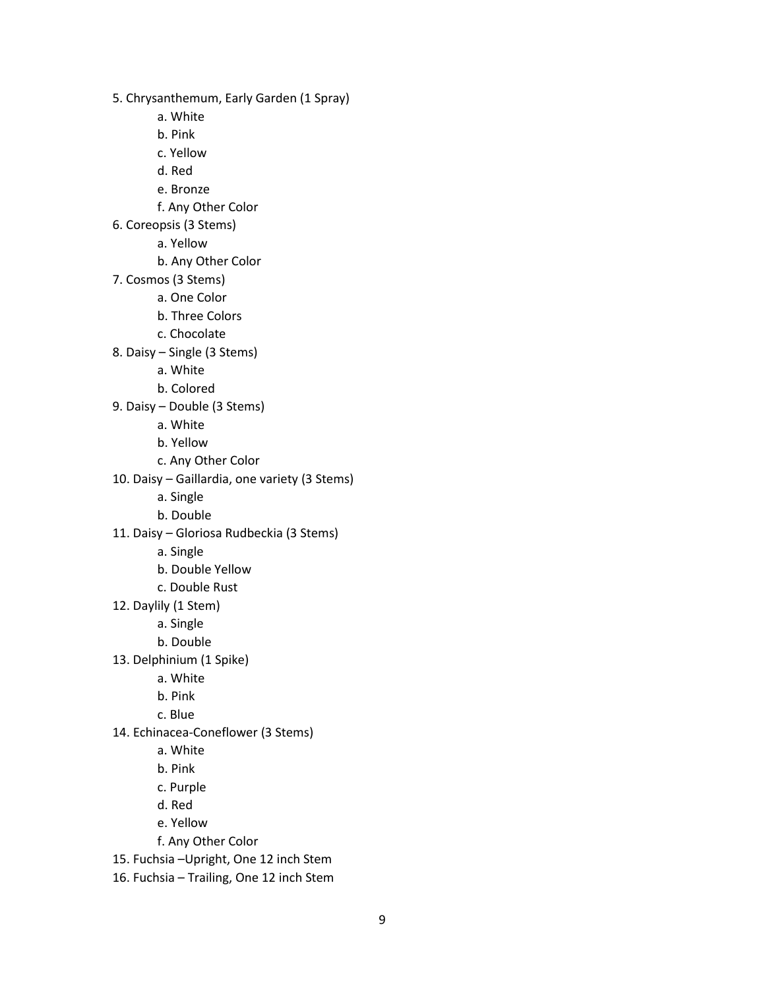5. Chrysanthemum, Early Garden (1 Spray)

- a. White
- b. Pink
- c. Yellow
- d. Red
- e. Bronze
- f. Any Other Color
- 6. Coreopsis (3 Stems)
	- a. Yellow
		- b. Any Other Color
- 7. Cosmos (3 Stems)
	- a. One Color
	- b. Three Colors
	- c. Chocolate
- 8. Daisy Single (3 Stems)
	- a. White
	- b. Colored
- 9. Daisy Double (3 Stems)
	- a. White
	- b. Yellow
	- c. Any Other Color
- 10. Daisy Gaillardia, one variety (3 Stems)
	- a. Single
	- b. Double
- 11. Daisy Gloriosa Rudbeckia (3 Stems)
	- a. Single
	- b. Double Yellow
	- c. Double Rust
- 12. Daylily (1 Stem)
	- a. Single
	- b. Double
- 13. Delphinium (1 Spike)
	- a. White
	- b. Pink
	- c. Blue
- 14. Echinacea-Coneflower (3 Stems)
	- a. White
	- b. Pink
	- c. Purple
	- d. Red
	- e. Yellow
	- f. Any Other Color
- 15. Fuchsia –Upright, One 12 inch Stem
- 16. Fuchsia Trailing, One 12 inch Stem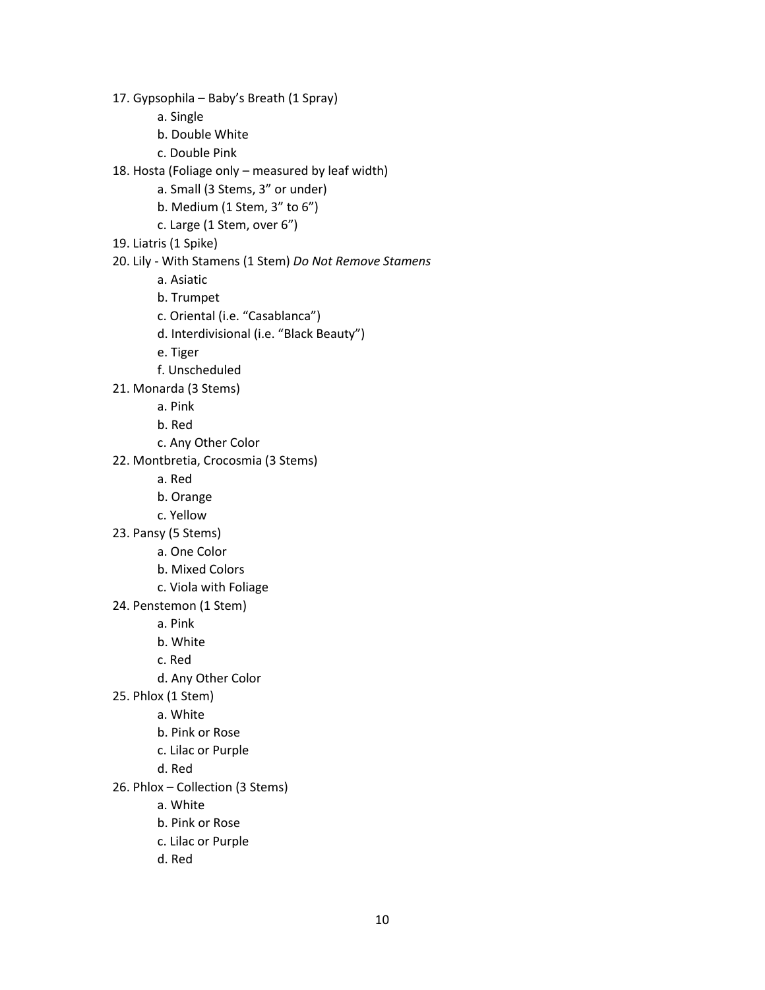a. Single b. Double White c. Double Pink 18. Hosta (Foliage only – measured by leaf width) a. Small (3 Stems, 3" or under) b. Medium (1 Stem, 3" to 6") c. Large (1 Stem, over 6") 19. Liatris (1 Spike) 20. Lily - With Stamens (1 Stem) *Do Not Remove Stamens* a. Asiatic b. Trumpet c. Oriental (i.e. "Casablanca") d. Interdivisional (i.e. "Black Beauty") e. Tiger f. Unscheduled 21. Monarda (3 Stems) a. Pink b. Red c. Any Other Color 22. Montbretia, Crocosmia (3 Stems) a. Red b. Orange c. Yellow 23. Pansy (5 Stems) a. One Color b. Mixed Colors c. Viola with Foliage 24. Penstemon (1 Stem) a. Pink b. White c. Red d. Any Other Color 25. Phlox (1 Stem) a. White b. Pink or Rose c. Lilac or Purple d. Red 26. Phlox – Collection (3 Stems) a. White b. Pink or Rose

17. Gypsophila – Baby's Breath (1 Spray)

- c. Lilac or Purple
- d. Red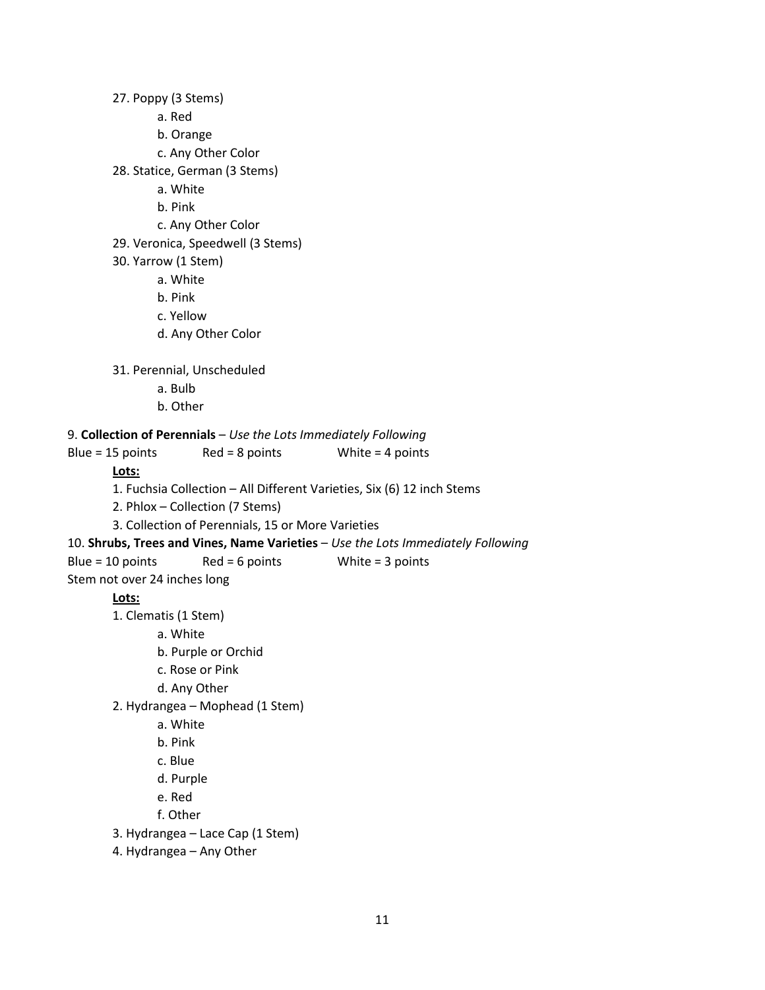27. Poppy (3 Stems) a. Red b. Orange c. Any Other Color 28. Statice, German (3 Stems) a. White b. Pink c. Any Other Color 29. Veronica, Speedwell (3 Stems) 30. Yarrow (1 Stem) a. White b. Pink c. Yellow d. Any Other Color 31. Perennial, Unscheduled a. Bulb b. Other 9. **Collection of Perennials** – *Use the Lots Immediately Following* Blue = 15 points Red = 8 points White = 4 points **Lots:** 1. Fuchsia Collection – All Different Varieties, Six (6) 12 inch Stems 2. Phlox – Collection (7 Stems) 3. Collection of Perennials, 15 or More Varieties 10. **Shrubs, Trees and Vines, Name Varieties** – *Use the Lots Immediately Following* Blue =  $10$  points Red = 6 points White = 3 points Stem not over 24 inches long **Lots:** 1. Clematis (1 Stem) a. White b. Purple or Orchid c. Rose or Pink d. Any Other 2. Hydrangea – Mophead (1 Stem) a. White b. Pink c. Blue d. Purple e. Red f. Other 3. Hydrangea – Lace Cap (1 Stem) 4. Hydrangea – Any Other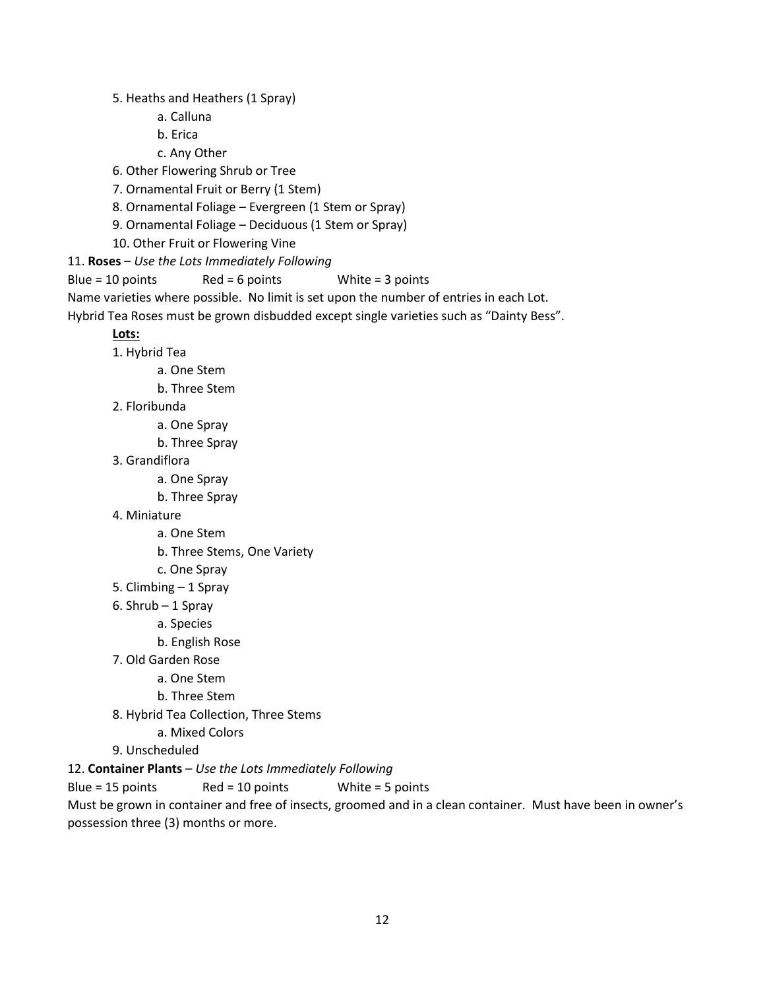5. Heaths and Heathers (1 Spray)

- a. Calluna
- b. Erica
- c. Any Other
- 6. Other Flowering Shrub or Tree
- 7. Ornamental Fruit or Berry (1 Stem)
- 8. Ornamental Foliage Evergreen (1 Stem or Spray)
- 9. Ornamental Foliage Deciduous (1 Stem or Spray)
- 10. Other Fruit or Flowering Vine
- 11. **Roses** *Use the Lots Immediately Following*

Blue = 10 points Red = 6 points White = 3 points

Name varieties where possible. No limit is set upon the number of entries in each Lot.

Hybrid Tea Roses must be grown disbudded except single varieties such as "Dainty Bess".

### **Lots:**

- 1. Hybrid Tea
	- a. One Stem
	- b. Three Stem
- 2. Floribunda
	- a. One Spray
	- b. Three Spray
- 3. Grandiflora
	- a. One Spray
	- b. Three Spray
- 4. Miniature
	- a. One Stem
		- b. Three Stems, One Variety
		- c. One Spray
- 5. Climbing 1 Spray
- 6. Shrub 1 Spray
	- a. Species
	- b. English Rose
- 7. Old Garden Rose
	- a. One Stem
	- b. Three Stem
- 8. Hybrid Tea Collection, Three Stems
	- a. Mixed Colors
- 9. Unscheduled
- 12. **Container Plants** *Use the Lots Immediately Following*

Blue = 15 points Red = 10 points White = 5 points

Must be grown in container and free of insects, groomed and in a clean container. Must have been in owner's possession three (3) months or more.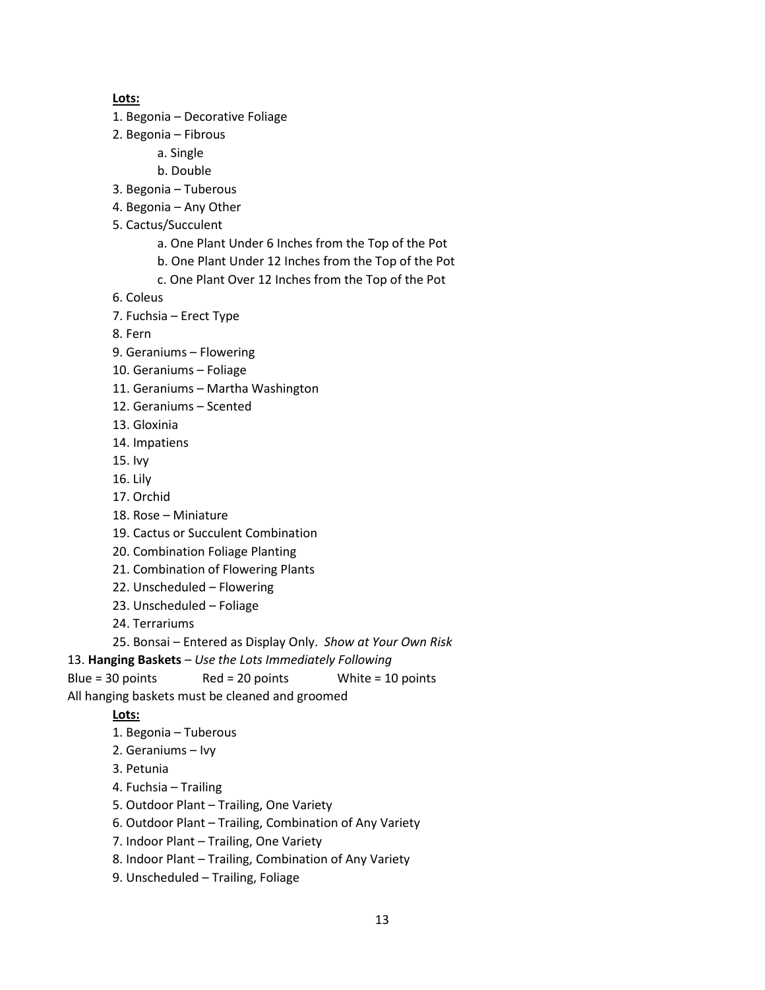#### **Lots:**

- 1. Begonia Decorative Foliage
- 2. Begonia Fibrous
	- a. Single
	- b. Double
- 3. Begonia Tuberous
- 4. Begonia Any Other
- 5. Cactus/Succulent
	- a. One Plant Under 6 Inches from the Top of the Pot
	- b. One Plant Under 12 Inches from the Top of the Pot
	- c. One Plant Over 12 Inches from the Top of the Pot
- 6. Coleus
- 7. Fuchsia Erect Type
- 8. Fern
- 9. Geraniums Flowering
- 10. Geraniums Foliage
- 11. Geraniums Martha Washington
- 12. Geraniums Scented
- 13. Gloxinia
- 14. Impatiens
- 15. Ivy
- 16. Lily
- 17. Orchid
- 18. Rose Miniature
- 19. Cactus or Succulent Combination
- 20. Combination Foliage Planting
- 21. Combination of Flowering Plants
- 22. Unscheduled Flowering
- 23. Unscheduled Foliage
- 24. Terrariums
- 25. Bonsai Entered as Display Only. *Show at Your Own Risk*
- 13. **Hanging Baskets** *Use the Lots Immediately Following*
- Blue = 30 points Red = 20 points White = 10 points
- All hanging baskets must be cleaned and groomed

- 1. Begonia Tuberous
- 2. Geraniums Ivy
- 3. Petunia
- 4. Fuchsia Trailing
- 5. Outdoor Plant Trailing, One Variety
- 6. Outdoor Plant Trailing, Combination of Any Variety
- 7. Indoor Plant Trailing, One Variety
- 8. Indoor Plant Trailing, Combination of Any Variety
- 9. Unscheduled Trailing, Foliage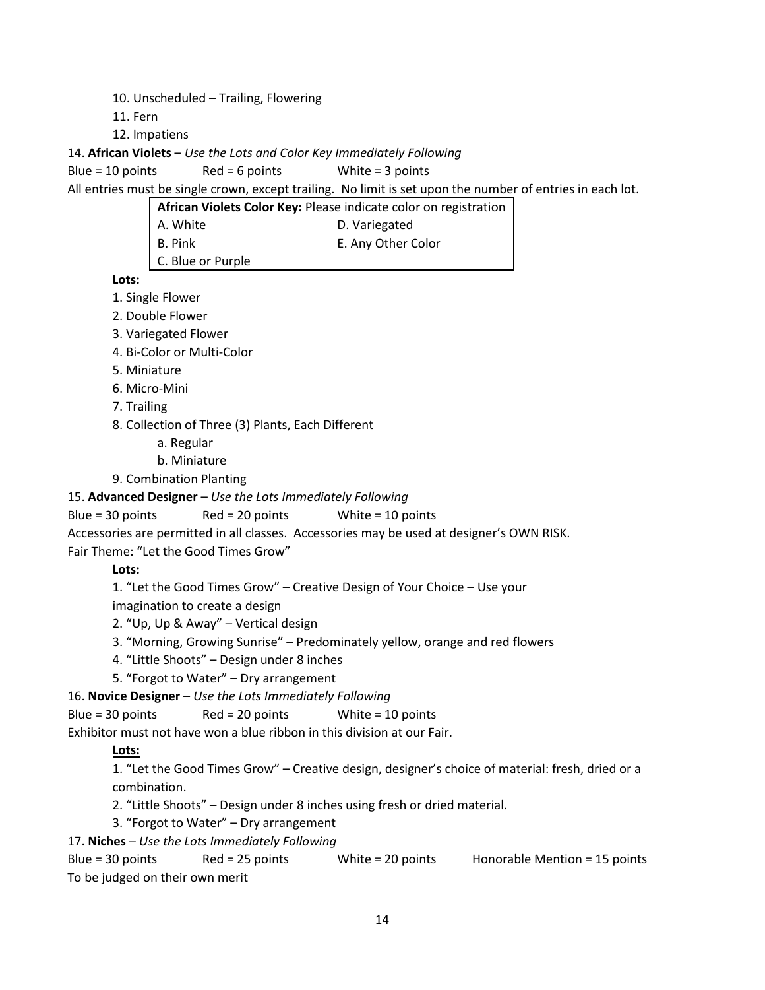- 10. Unscheduled Trailing, Flowering
- 11. Fern
- 12. Impatiens

14. **African Violets** – *Use the Lots and Color Key Immediately Following*

Blue = 10 points Red = 6 points White = 3 points

All entries must be single crown, except trailing. No limit is set upon the number of entries in each lot.

**African Violets Color Key:** Please indicate color on registration

- A. White **D. Variegated**
- B. Pink E. Any Other Color
- C. Blue or Purple

**Lots:**

- 1. Single Flower
- 2. Double Flower
- 3. Variegated Flower
- 4. Bi-Color or Multi-Color
- 5. Miniature
- 6. Micro-Mini
- 7. Trailing
- 8. Collection of Three (3) Plants, Each Different
	- a. Regular
	- b. Miniature
- 9. Combination Planting

## 15. **Advanced Designer** – *Use the Lots Immediately Following*

Blue = 30 points Red = 20 points White = 10 points

Accessories are permitted in all classes. Accessories may be used at designer's OWN RISK.

Fair Theme: "Let the Good Times Grow"

## **Lots:**

1. "Let the Good Times Grow" – Creative Design of Your Choice – Use your

imagination to create a design

- 2. "Up, Up & Away" Vertical design
- 3. "Morning, Growing Sunrise" Predominately yellow, orange and red flowers
- 4. "Little Shoots" Design under 8 inches
- 5. "Forgot to Water" Dry arrangement

16. **Novice Designer** – *Use the Lots Immediately Following*

Blue = 30 points Red = 20 points White = 10 points

Exhibitor must not have won a blue ribbon in this division at our Fair.

## **Lots:**

1. "Let the Good Times Grow" – Creative design, designer's choice of material: fresh, dried or a combination.

- 2. "Little Shoots" Design under 8 inches using fresh or dried material.
- 3. "Forgot to Water" Dry arrangement

17. **Niches** – *Use the Lots Immediately Following*

Blue = 30 points Red = 25 points White = 20 points Honorable Mention = 15 points To be judged on their own merit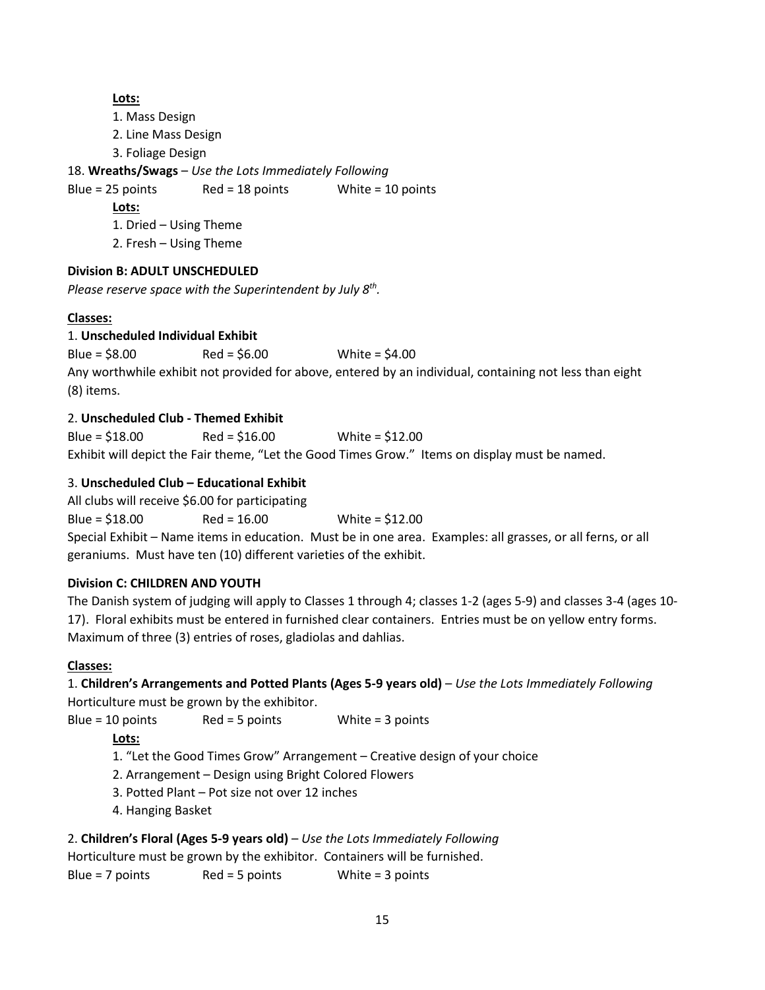#### **Lots:**

1. Mass Design

2. Line Mass Design

3. Foliage Design

18. **Wreaths/Swags** – *Use the Lots Immediately Following*

Blue =  $25$  points Red =  $18$  points White =  $10$  points

**Lots:**

1. Dried – Using Theme

2. Fresh – Using Theme

# **Division B: ADULT UNSCHEDULED**

*Please reserve space with the Superintendent by July 8th .*

# **Classes:**

# 1. **Unscheduled Individual Exhibit**

Blue = \$8.00 Red = \$6.00 White = \$4.00 Any worthwhile exhibit not provided for above, entered by an individual, containing not less than eight (8) items.

# 2. **Unscheduled Club - Themed Exhibit**

Blue = \$18.00 Red = \$16.00 White = \$12.00 Exhibit will depict the Fair theme, "Let the Good Times Grow." Items on display must be named.

# 3. **Unscheduled Club – Educational Exhibit**

All clubs will receive \$6.00 for participating

Blue = \$18.00 Red = 16.00 White = \$12.00

Special Exhibit – Name items in education. Must be in one area. Examples: all grasses, or all ferns, or all geraniums. Must have ten (10) different varieties of the exhibit.

# **Division C: CHILDREN AND YOUTH**

The Danish system of judging will apply to Classes 1 through 4; classes 1-2 (ages 5-9) and classes 3-4 (ages 10- 17). Floral exhibits must be entered in furnished clear containers. Entries must be on yellow entry forms. Maximum of three (3) entries of roses, gladiolas and dahlias.

# **Classes:**

1. **Children's Arrangements and Potted Plants (Ages 5-9 years old)** – *Use the Lots Immediately Following* Horticulture must be grown by the exhibitor.

Blue = 10 points Red = 5 points White = 3 points

# **Lots:**

1. "Let the Good Times Grow" Arrangement – Creative design of your choice

- 2. Arrangement Design using Bright Colored Flowers
- 3. Potted Plant Pot size not over 12 inches
- 4. Hanging Basket

# 2. **Children's Floral (Ages 5-9 years old)** – *Use the Lots Immediately Following*

Horticulture must be grown by the exhibitor. Containers will be furnished.

Blue =  $7$  points Red =  $5$  points White =  $3$  points